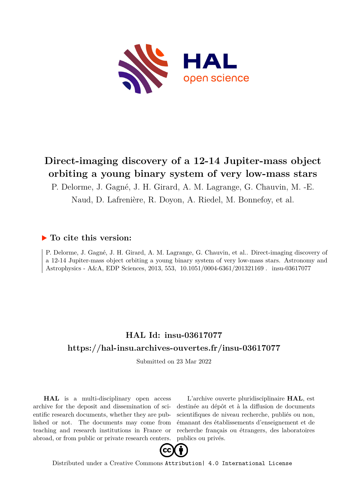

# **Direct-imaging discovery of a 12-14 Jupiter-mass object orbiting a young binary system of very low-mass stars**

P. Delorme, J. Gagné, J. H. Girard, A. M. Lagrange, G. Chauvin, M. -E.

Naud, D. Lafrenière, R. Doyon, A. Riedel, M. Bonnefoy, et al.

### **To cite this version:**

P. Delorme, J. Gagné, J. H. Girard, A. M. Lagrange, G. Chauvin, et al.. Direct-imaging discovery of a 12-14 Jupiter-mass object orbiting a young binary system of very low-mass stars. Astronomy and Astrophysics - A&A, EDP Sciences, 2013, 553, 10.1051/0004-6361/201321169. insu-03617077

### **HAL Id: insu-03617077 <https://hal-insu.archives-ouvertes.fr/insu-03617077>**

Submitted on 23 Mar 2022

**HAL** is a multi-disciplinary open access archive for the deposit and dissemination of scientific research documents, whether they are published or not. The documents may come from teaching and research institutions in France or abroad, or from public or private research centers.

L'archive ouverte pluridisciplinaire **HAL**, est destinée au dépôt et à la diffusion de documents scientifiques de niveau recherche, publiés ou non, émanant des établissements d'enseignement et de recherche français ou étrangers, des laboratoires publics ou privés.



Distributed under a Creative Commons [Attribution| 4.0 International License](http://creativecommons.org/licenses/by/4.0/)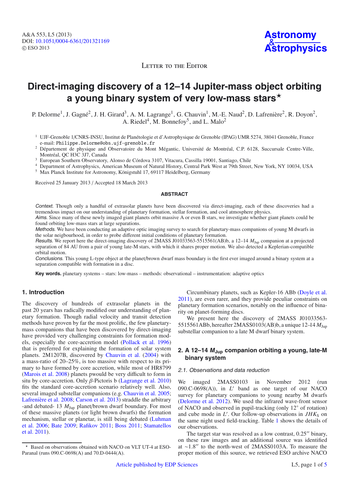**Astronomy** & **[Astrophysics](http://www.aanda.org)**

LETTER TO THE EDITOR

## **Direct-imaging discovery of a 12–14 Jupiter-mass object orbiting a young binary system of very low-mass stars**-

P. Delorme<sup>1</sup>, J. Gagné<sup>2</sup>, J. H. Girard<sup>3</sup>, A. M. Lagrange<sup>1</sup>, G. Chauvin<sup>1</sup>, M.-E. Naud<sup>2</sup>, D. Lafrenière<sup>2</sup>, R. Doyon<sup>2</sup>, A. Riedel<sup>4</sup>, M. Bonnefoy<sup>5</sup>, and L. Malo<sup>2</sup>

- <sup>1</sup> UJF-Grenoble 1/CNRS-INSU, Institut de Planétologie et d'Astrophysique de Grenoble (IPAG) UMR 5274, 38041 Grenoble, France e-mail: Philippe. Delorme@obs.ujf-grenoble. fr
- <sup>2</sup> Département de physique and Observatoire du Mont Mégantic, Université de Montréal, C.P. 6128, Succursale Centre-Ville, Montréal, QC H3C 3J7, Canada
- <sup>3</sup> European Southern Observatory, Alonso de Córdova 3107, Vitacura, Cassilla 19001, Santiago, Chile
- <sup>4</sup> Department of Astrophysics, American Museum of Natural History, Central Park West at 79th Street, New York, NY 10034, USA
- <sup>5</sup> Max Planck Institute for Astronomy, Königstuhl 17, 69117 Heidelberg, Germany

Received 25 January 2013 / Accepted 18 March 2013

#### **ABSTRACT**

Context. Though only a handful of extrasolar planets have been discovered via direct-imaging, each of these discoveries had a tremendous impact on our understanding of planetary formation, stellar formation, and cool atmosphere physics.

Aims. Since many of these newly imaged giant planets orbit massive A or even B stars, we investigate whether giant planets could be found orbiting low-mass stars at large separations.

Methods. We have been conducting an adaptive optic imaging survey to search for planetary-mass companions of young M dwarfs in the solar neigbourhood, in order to probe different initial conditions of planetary formation.

Results. We report here the direct-imaging discovery of 2MASS J01033563-5515561(AB)b, a 12–14 *M*Jup companion at a projected separation of 84 AU from a pair of young late-M stars, with which it shares proper motion. We also detected a Keplerian-compatible orbital motion.

Conclusions. This young L-type object at the planet/brown dwarf mass boundary is the first ever imaged around a binary system at a separation compatible with formation in a disc.

**Key words.** planetary systems – stars: low-mass – methods: observational – instrumentation: adaptive optics

#### **1. Introduction**

The discovery of hundreds of extrasolar planets in the past 20 years has radically modified our understanding of planetary formation. Though radial velocity and transit detection methods have proven by far the most prolific, the few planetarymass companions that have been discovered by direct-imaging have provided very challenging constraints for formation models, especially the core-accretion model (Pollack et al. 1996) that is preferred for explaining the formation of solar system planets. 2M1207B, discovered by Chauvin et al. (2004) with a mass-ratio of 20–25%, is too massive with respect to its primary to have formed by core accretion, while most of HR8799 (Marois et al. 2008) planets pwould be very difficult to form in situ by core-accretion. Only β-Pictoris b (Lagrange et al. 2010) fits the standard core-accretion scenario relatively well. Also, several imaged substellar companions (e.g. Chauvin et al. 2005; Lafrenière et al. 2008; Carson et al. 2013) straddle the arbitrary -and debated- 13 *M*Jup planet/brown dwarf boundary. For most of these massive planets (or light brown dwarfs) the formation mechanism, stellar or planetar, is still being debated (Luhman et al. 2006; Bate 2009; Rafikov 2011; Boss 2011; Stamatellos et al. 2011).

Circumbinary planets, such as Kepler-16 ABb (Doyle et al. 2011), are even rarer, and they provide peculiar constraints on planetary formation scenarios, notably on the influence of binarity on planet-forming discs.

We present here the discovery of 2MASS J01033563-5515561ABb,hereafter 2MASS0103(AB)b,a unique 12–14 *M*Jup substellar companion to a late M dwarf binary system.

#### **2. A 12–14 <sup>M</sup>Jup companion orbiting a young, late-M binary system**

#### 2.1. Observations and data reduction

We imaged 2MASS0103 in November 2012 (run  $090.C-0698(A)$ , in  $L'$  band as one target of our NACO survey for planetary companions to young nearby M dwarfs (Delorme et al. 2012). We used the infrared wave-front sensor of NACO and observed in pupil-tracking (only 12◦ of rotation) and cube mode in L'. Our follow-up observations in  $JHK<sub>S</sub>$  on the same night used field-tracking. Table 1 shows the details of our observations.

The target star was resolved as a low contrast,  $0.25$ " binary, on these raw images and an additional source was identified at ∼1.8" to the north-west of 2MASS0103A. To measure the proper motion of this source, we retrieved ESO archive NACO

Based on observations obtained with NACO on VLT UT-4 at ESO-Paranal (runs 090.C-0698(A) and 70.D-0444(A).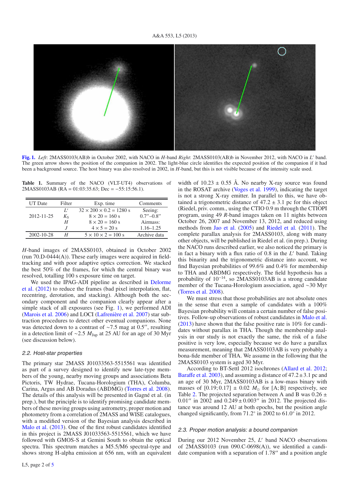#### A&A 553, L5 (2013)



**[Fig. 1.](http://dexter.edpsciences.org/applet.php?DOI=10.1051/0004-6361/201321169&pdf_id=1)** *Left*: 2MASS0103(AB)b in October 2002, with NACO in *H*-band *Right*: 2MASS0103(AB)b in November 2012, with NACO in *L* band. The green arrow shows the position of the companion in 2002. The light-blue circle identifies the expected position of the companion if it had been a background source. The host binary was also resolved in 2002, in *H*-band, but this is not visible because of the intensity scale used.

**Table 1.** Summary of the NACO (VLT-UT4) observations of 2MASS0103AB (RA = 01:03:35.63; Dec = −55:15:56.1).

| UT Date    | Filter  | Exp. time                           | Comments        |
|------------|---------|-------------------------------------|-----------------|
|            | L'      | $32 \times 200 \times 0.2 = 1280$ s | Seeing:         |
| 2012-11-25 | $K_{S}$ | $8 \times 20 = 160$ s               | $0.7'' - 0.8''$ |
|            | Η       | $8 \times 20 = 160$ s               | Airmass:        |
|            |         | $4 \times 5 = 20 s$                 | $1.16 - 1.25$   |
| 2002-10-28 |         | $5 \times 10 \times 2 = 100$ s      | Archive data    |

*H*-band images of 2MASS0103, obtained in October 2002 (run  $70.D-0444(A)$ ). These early images were acquired in fieldtracking and with poor adaptive optics correction. We stacked the best 50% of the frames, for which the central binary was resolved, totalling 100 s exposure time on target.

We used the IPAG-ADI pipeline as described in Delorme et al. (2012) to reduce the frames (bad pixel interpolation, flat, recentring, derotation, and stacking). Although both the secondary component and the companion clearly appear after a simple stack of all exposures (see Fig. 1), we performed ADI (Marois et al. 2006) and LOCI (Lafrenière et al. 2007) star subtraction procedures to detect other eventual companions. None was detected down to a contrast of ~7.5 mag at 0.5", resulting in a detection limit of ∼2.5 *M*Jup at 25 AU for an age of 30 Myr (see discussion below).

#### 2.2. Host-star properties

The primary star 2MASS J01033563-5515561 was identified as part of a survey designed to identify new late-type members of the young, nearby moving groups and associations Beta Pictoris, TW Hydrae, Tucana-Horologium (THA), Columba, Carina, Argus and AB Doradus (ABDMG) (Torres et al. 2008). The details of this analysis will be presented in Gagné et al. (in prep.), but the principle is to identify promising candidate members of these moving groups using astrometry, proper motion and photometry from a correlation of 2MASS and WISE catalogues, with a modified version of the Bayesian analysis described in Malo et al. (2013). One of the first robust candidates identified in this project is 2MASS J01033563-5515561, which we have followed with GMOS-S at Gemini South to obtain the optical spectra. This spectrum matches a M5.5/M6 spectral-type and shows strong H-alpha emission at 656 nm, with an equivalent width of  $10.23 \pm 0.55$  Å. No nearby X-ray source was found in the ROSAT archive (Voges et al. 1999), indicating the target is not a strong X-ray emitter. In parallel to this, we have obtained a trigonometric distance of  $47.2 \pm 3.1$  pc for this object (Riedel, priv. comm., using the CTIO 0.9 m through the CTIOPI program, using 49 *R*-band images taken on 11 nights between October 26, 2007 and November 13, 2012, and reduced using methods from Jao et al. (2005) and Riedel et al. (2011). The complete parallax analysis for 2MASS0103, along with many other objects, will be published in Riedel et al. (in prep.). During the NACO runs described earlier, we also noticed the primary is in fact a binary with a flux ratio of 0.8 in the L' band. Taking this binarity and the trigonometric distance into account, we find Bayesian probabilities of 99.6% and 0.4% for membership to THA and ABDMG respectively. The field hypothesis has a probability of 10−14, so 2MASS0103AB is a strong candidate member of the Tucana-Horologium association, aged ∼30 Myr (Torres et al. 2008).

We must stress that those probabilities are not absolute ones in the sense that even a sample of candidates with a 100% Bayesian probability will contain a certain number of false positives. Follow-up observations of robust candidates in Malo et al. (2013) have shown that the false positive rate is 10% for candidates without parallax in THA. Though the membership analysis in our study is not exactly the same, the risk of a false positive is very low, especially because we do have a parallax measurement, meaning that 2MASS0103AB is very probably a bona-fide member of THA. We assume in the following that the 2MASS0103 system is aged 30 Myr.

According to BT-Settl 2012 isochrones (Allard et al. 2012; Baraffe et al. 2003), and assuming a distance of  $47.2 \pm 3.1$  pc and an age of 30 Myr, 2MASS0103AB is a low-mass binary with masses of  $[0.19; 0.17] \pm 0.02$  *M*<sub> $\odot$ </sub> for  $[A; B]$  respectively, see Table 2. The projected separation between A and B was  $0.26 \pm$ 0.01" in 2002 and  $0.249 \pm 0.003$ " in 2012. The projected distance was around 12 AU at both epochs, but the position angle changed significantly, from 71.2◦ in 2002 to 61.0◦ in 2012.

#### 2.3. Proper motion analysis: <sup>a</sup> bound companion

During our 2012 November 25, *L'* band NACO observations of 2MASS0103 (run 090.C-0698(A)), we identified a candidate companion with a separation of  $1.78$ " and a position angle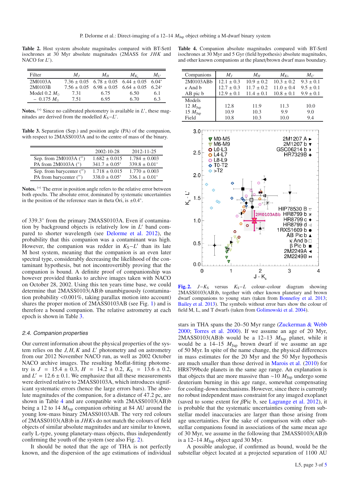**Table 2.** Host system absolute magnitudes compared with BT-Settl isochrones at 30 Myr absolute magnitudes (2MASS for *JHK* and NACO for *L* ).

| Filter                | $M_I$ | $M_H$ | $M_{K_c}$                                                | $M_{I'}$ |
|-----------------------|-------|-------|----------------------------------------------------------|----------|
| 2M0103A               |       |       | $7.36 \pm 0.05$ $6.78 \pm 0.05$ $6.44 \pm 0.05$ $6.04^*$ |          |
| 2M0103B               |       |       | $7.56 \pm 0.05$ $6.98 \pm 0.05$ $6.64 \pm 0.05$ $6.24^*$ |          |
| Model 0.2 $M_{\odot}$ | 7.31  | 6.75  | 6.50                                                     | 6.1      |
| $-0.175 M_{\odot}$    | 7.51  | 6.95  | 6.70                                                     | 6.3      |

Notes. <sup>(\*)</sup> Since no calibrated photometry is available in *L'*, these magnitudes are derived from the modelled  $K_S - L'$ .

**Table 3.** Separation (Sep.) and position angle (PA) of the companion, with respect to 2MASS0103A and to the centre of mass of the binary.

|                                 | $2002 - 10 - 28$   | $2012 - 11 - 25$   |
|---------------------------------|--------------------|--------------------|
| Sep. from 2M0103A (")           | $1.682 \pm 0.015$  | $1.784 \pm 0.003$  |
| PA from $2M0103A$ ( $\degree$ ) | $341.7 \pm 0.05^*$ | $339.8 \pm 0.01^*$ |
| Sep. from barycenter (")        | $1.718 \pm 0.015$  | $1.770 \pm 0.003$  |
| PA from barycenter (")          | $338.0 \pm 0.05^*$ | $336.1 \pm 0.01^*$ |

**Notes.** (∗) The error in position angle refers to the relative error between both epochs. The absolute error, dominated by systematic uncertainties in the position of the reference stars in theta Ori, is  $\pm 0.4^\circ$ .

of 339.3◦ from the primary 2MASS0103A. Even if contamination by background objects is relatively low in *L'* band compared to shorter wavelength (see Delorme et al. 2012), the probability that this companion was a contaminant was high. However, the companion was redder in  $K_S - L'$  than its late M host system, meaning that the companion is an even later spectral type, considerably decreasing the likelihood of the contaminant hypothesis, but not incontrovertibly proving that the companion is bound. A definite proof of companionship was however provided thanks to archive images taken with NACO on October 28, 2002. Using this ten years time base, we could determine that 2MASS0103(AB)b unambiguously (contamination probability <0.001%, taking parallax motion into account) shares the proper motion of 2MASS0103AB (see Fig. 1) and is therefore a bound companion. The relative astrometry at each epoch is shown in Table 3.

#### 2.4. Companion properties

Our current information about the physical properties of the system relies on the  $J, H, K$  and  $L'$  photometry and on astrometry from our 2012 November NACO run, as well as 2002 October NACO archive images. The resulting Moffat-fitting photometry is  $J = 15.4 \pm 0.3$ ,  $H = 14.2 \pm 0.2$ ,  $K_S = 13.6 \pm 0.2$ , and  $L' = 12.6 \pm 0.1$ . We emphasize that all these measurements were derived relative to 2MASS0103A, which introduces significant systematic errors (hence the large errors bars). The absolute magnitudes of the companion, for a distance of 47.2 pc, are shown in Table 4 and are compatible with 2MASS0103(AB)b being a 12 to 14  $M_{\text{Jun}}$  companion orbiting at 84 AU around the young low-mass binary 2MASS0103AB. The very red colours of 2MASS0103(AB)b in *JHK*s do not match the colours of field objects of similar absolute magnitudes and are similar to known, early L-type, young planetary-mass objects, thus independently confirming the youth of the system (see also Fig. 2).

It should be noted that the age of THA is not perfectly known, and the dispersion of the age estimations of individual

**Table 4.** Companion absolute magnitudes compared with BT-Settl isochrones at 30 Myr and 5 Gyr (field hypothesis) absolute magnitudes, and other known companions at the planet/brown dwarf mass boundary.

| Companions          | $M_I$          | $M_H$          | $M_{Ks}$       | $M_{L'}$      |
|---------------------|----------------|----------------|----------------|---------------|
| 2M0103ABb           | $12.1 \pm 0.3$ | $10.9 \pm 0.2$ | $10.3 \pm 0.2$ | $9.3 \pm 0.1$ |
| $\kappa$ And b      | $12.7 \pm 0.3$ | $11.7 \pm 0.2$ | $11.0 \pm 0.4$ | $9.5 \pm 0.1$ |
| AB pic b            | $12.9 \pm 0.1$ | $11.4 \pm 0.1$ | $10.8 \pm 0.1$ | $9.9 \pm 0.1$ |
| Models              |                |                |                |               |
| 12 $M_{\text{Jup}}$ | 12.8           | 11.9           | 11.3           | 10.0          |
| 15 $M_{\text{Jup}}$ | 10.9           | 10.3           | 9.9            | 9.0           |
| Field               | 10.8           | 10.3           | 10.0           | 9.4           |



**[Fig. 2.](http://dexter.edpsciences.org/applet.php?DOI=10.1051/0004-6361/201321169&pdf_id=2)**  $J-K<sub>S</sub>$  versus  $K<sub>S</sub> - L$  colour–colour diagram showing 2MASS0103(AB)b, together with other known planetary and brown dwarf companions to young stars (taken from Bonnefoy et al. 2013; Bailey et al. 2013). The symbols without error bars show the colour of field M, L, and T dwarfs (taken from Golimowski et al. 2004).

stars in THA spans the 20–50 Myr range (Zuckerman & Webb 2000; Torres et al. 2000). If we assume an age of 20 Myr, 2MASS0103(AB)b would be a 12-13  $M_{Jup}$  planet, while it would be a 14–15 *M*Jup brown dwarf if we assume an age of 50 Myr. In spite of the name change, the physical differences in mass estimates for the 20 Myr and the 50 Myr hypothesis are much smaller than those derived in Marois et al. (2010) for HR8799bcde planets in the same age range. An explanation is that objects that are more massive than ∼10 *M*Jup undergo some deuterium burning in this age range, somewhat compensating for cooling-down mechanisms. However, since there is currently no robust independent mass constraint for any imaged exoplanet (saved to some extent for  $\beta$ Pic b, see Lagrange et al. 2012), it is probable that the systematic uncertainties coming from substellar model inaccuracies are larger than those arising from age uncertainties. For the sake of comparison with other substellar companions found in associations of the same mean age of 30 Myr, we assume in the following that 2MASS0103(AB)b is a 12–14  $M_{\text{Jup}}$  object aged 30 Myr.

A possible analogue, if confirmed as bound, would be the substellar object located at a projected separation of 1100 AU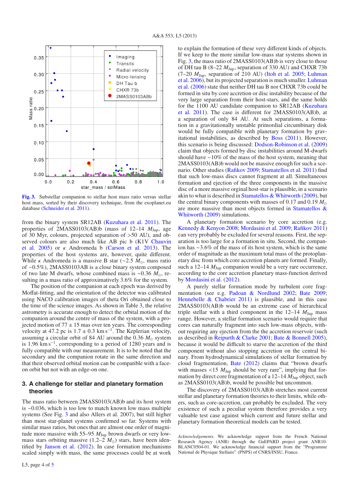

**[Fig. 3.](http://dexter.edpsciences.org/applet.php?DOI=10.1051/0004-6361/201321169&pdf_id=3)** Substellar companion to stellar host mass ratio versus stellar host mass, sorted by their discovery technique, from the exoplanet.eu database (Schneider et al. 2011).

from the binary system SR12AB (Kuzuhara et al. 2011). The properties of 2MASS0103(AB)b (mass of 12–14 *M*Jup, age of 30 Myr, colours, projected separation of >50 AU), and observed colours are also much like AB pic b (K1V Chauvin et al. 2005) or κ Andromeda b (Carson et al. 2013). The properties of the host systems are, however, quite different. While *κ* Andromeda is a massive B star (∼2.5  $M_{\odot}$ , mass ratio of ∼0.5%), 2MASS0103AB is a close binary system composed of two late M dwarfs, whose combined mass is ~0.36  $M_{\odot}$ , resulting in a mass ratio of approximatively 3.6% for the system.

The position of the companion at each epoch was derived by Moffat-fitting, and the orientation of the detector was calibrated using NACO calibration images of theta Ori obtained close to the time of the science images. As shown in Table 3, the relative astrometry is accurate enough to detect the orbital motion of the companion around the centre of mass of the system, with a projected motion of  $77 \pm 15$  mas over ten years. The corresponding velocity at 47.2 pc is  $1.7 \pm 0.3$  km s<sup>-1</sup>. The Keplerian velocity, assuming a circular orbit of 84 AU around the 0.36  $M_{\odot}$  system is 1.96 km s−1, corresponding to a period of 1280 years and is fully compatible with our measurement. It is to be noted that the secondary and the companion rotate in the same direction and that their observed orbital motion can be compatible with a faceon orbit but not with an edge-on one.

#### **3. A challenge for stellar and planetary formation theories**

The mass ratio between 2MASS0103(AB)b and its host system is ∼0.036, which is too low to match known low mass multiple systems (See Fig. 3 and also Allers et al. 2007), but still higher than most star-planet systems confirmed so far. Systems with similar mass ratios, but ones that are almost one order of magnitude more massive with 55–95 *M*Jup brown dwarfs or very lowmass stars orbiting massive  $(1.2-2 \, M_{\odot})$  stars, have been identified by Janson et al. (2012). In case formation mechanisms scaled simply with mass, the same processes could be at work to explain the formation of these very different kinds of objects. If we keep to the more similar low-mass star systems shown in Fig. 3, the mass ratio of 2MASS0103(AB)b is very close to those of DH tau B (8–22 *M*Jup, separation of 330 AU) and CHXR 73b (7–20 *M*Jup, separation of 210 AU) (Itoh et al. 2005; Luhman et al. 2006), but its projected separation is much smaller. Luhman et al. (2006) state that neither DH tau B nor CHXR 73b could be formed in situ by core accretion or disc instability because of the very large separation from their host-stars, and the same holds for the 1100 AU candidate companion to SR12AB (Kuzuhara et al. 2011). The case is different for 2MASS0103(AB)b, at a separation of only 84 AU. At such separations, a formation in a gravitationally unstable primordial circumbinary disk would be fully compatible with planetary formation by gravitational instabilities, as described by Boss (2011). However, this scenario is being discussed: Dodson-Robinson et al. (2009) claim that objects formed by disc instabilities around M-dwarfs should have ∼10% of the mass of the host system, meaning that 2MASS0103(AB)b would not be massive enough for such a scenario. Other studies (Rafikov 2009; Stamatellos et al. 2011) find that such low-mass discs cannot fragment at all. Simultaneous formation and ejection of the three components in the massive disc of a more massive orginal host-star is plausible, in a scenario akin to what is described in Stamatellos & Whitworth (2009), but the central binary components with masses of 0.17 and 0.19  $M_{\odot}$ are more massive than most objects formed in Stamatellos & Whitworth (2009) simulations.

A planetary formation scenario by core accretion (e.g. Kennedy & Kenyon 2008; Mordasini et al. 2009; Rafikov 2011) can very probably be excluded for several reasons. First, the separation is too large for a formation in situ. Second, the companion has ∼3.6% of the mass of its host system, which is the same order of magnitude as the maximum total mass of the protoplanetary disc from which core accretion planets are formed. Finally, such a  $12-14$   $M_{\text{Jup}}$  companion would be a very rare occurrence, according to the core accretion planetary mass-function derived by Mordasini et al. (2012).

A purely stellar formation mode by turbulent core fragmentation (see e.g. Padoan & Nordlund 2002; Bate 2009; Hennebelle & Chabrier 2011) is plausible, and in this case 2MASS0103(AB)b would be an extreme case of hierarchical triple stellar with a third component in the  $12-14$   $M_{Jup}$  mass range. However, a stellar formation scenario would require that cores can naturally fragment into such low-mass objects, without requiring any ejection from the the accretion reservoir (such as described in Reipurth & Clarke 2001; Bate & Bonnell 2005), because it would be difficult to starve the accretion of the third component without also stopping accretion on the central binary. From hydrodynamical simulations of stellar formation by cloud fragmentation, Bate (2012) claims that "brown dwarfs with masses <15  $M_{\text{Jup}}$  should be very rare", implying that formation by direct core fragmentation of a 12–14  $\dot{M}_{\text{Jup}}$  object, such as 2MASS0103(AB)b, would be possible but uncommon.

The discovery of 2MASS0103(AB)b stretches most current stellar and planetary formation theories to their limits, while others, such as core-accretion, can probably be excluded. The very existence of such a peculiar system therefore provides a very valuable test case against which current and future stellar and planetary formation theoretical models can be tested.

*Acknowledgements.* We acknowledge support from the French National Research Agency (ANR) through the GuEPARD project grant ANR10- BLANC0504-01. We acknowledge financial support from the "Programme National de Physique Stellaire" (PNPS) of CNRS/INSU, France.